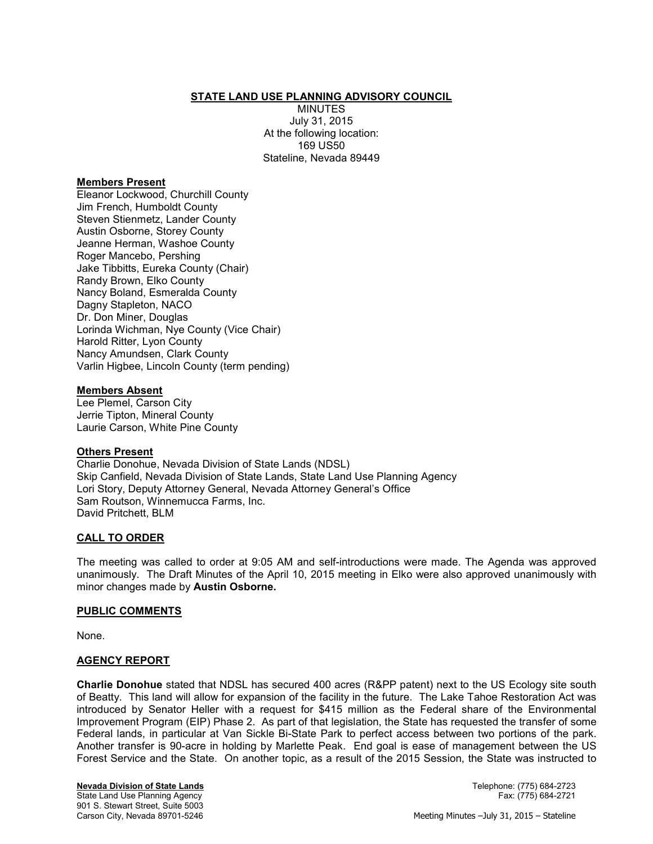## **STATE LAND USE PLANNING ADVISORY COUNCIL**

**MINUTES** July 31, 2015 At the following location: 169 US50 Stateline, Nevada 89449

### **Members Present**

Eleanor Lockwood, Churchill County Jim French, Humboldt County Steven Stienmetz, Lander County Austin Osborne, Storey County Jeanne Herman, Washoe County Roger Mancebo, Pershing Jake Tibbitts, Eureka County (Chair) Randy Brown, Elko County Nancy Boland, Esmeralda County Dagny Stapleton, NACO Dr. Don Miner, Douglas Lorinda Wichman, Nye County (Vice Chair) Harold Ritter, Lyon County Nancy Amundsen, Clark County Varlin Higbee, Lincoln County (term pending)

### **Members Absent**

Lee Plemel, Carson City Jerrie Tipton, Mineral County Laurie Carson, White Pine County

#### **Others Present**

Charlie Donohue, Nevada Division of State Lands (NDSL) Skip Canfield, Nevada Division of State Lands, State Land Use Planning Agency Lori Story, Deputy Attorney General, Nevada Attorney General's Office Sam Routson, Winnemucca Farms, Inc. David Pritchett, BLM

## **CALL TO ORDER**

The meeting was called to order at 9:05 AM and self-introductions were made. The Agenda was approved unanimously. The Draft Minutes of the April 10, 2015 meeting in Elko were also approved unanimously with minor changes made by **Austin Osborne.** 

## **PUBLIC COMMENTS**

None.

## **AGENCY REPORT**

**Charlie Donohue** stated that NDSL has secured 400 acres (R&PP patent) next to the US Ecology site south of Beatty. This land will allow for expansion of the facility in the future. The Lake Tahoe Restoration Act was introduced by Senator Heller with a request for \$415 million as the Federal share of the Environmental Improvement Program (EIP) Phase 2. As part of that legislation, the State has requested the transfer of some Federal lands, in particular at Van Sickle Bi-State Park to perfect access between two portions of the park. Another transfer is 90-acre in holding by Marlette Peak. End goal is ease of management between the US Forest Service and the State. On another topic, as a result of the 2015 Session, the State was instructed to

**Nevada Division of State Lands** Telephone: (775) 684-2723 State Land Use Planning Agency 901 S. Stewart Street, Suite 5003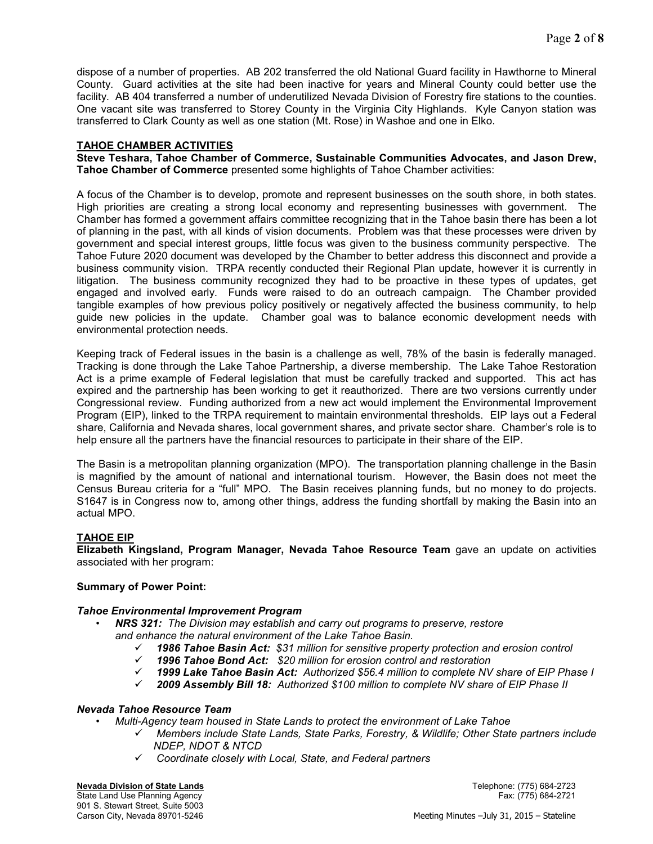dispose of a number of properties. AB 202 transferred the old National Guard facility in Hawthorne to Mineral County. Guard activities at the site had been inactive for years and Mineral County could better use the facility. AB 404 transferred a number of underutilized Nevada Division of Forestry fire stations to the counties. One vacant site was transferred to Storey County in the Virginia City Highlands. Kyle Canyon station was transferred to Clark County as well as one station (Mt. Rose) in Washoe and one in Elko.

# **TAHOE CHAMBER ACTIVITIES**

**Steve Teshara, Tahoe Chamber of Commerce, Sustainable Communities Advocates, and Jason Drew, Tahoe Chamber of Commerce** presented some highlights of Tahoe Chamber activities:

A focus of the Chamber is to develop, promote and represent businesses on the south shore, in both states. High priorities are creating a strong local economy and representing businesses with government. The Chamber has formed a government affairs committee recognizing that in the Tahoe basin there has been a lot of planning in the past, with all kinds of vision documents. Problem was that these processes were driven by government and special interest groups, little focus was given to the business community perspective. The Tahoe Future 2020 document was developed by the Chamber to better address this disconnect and provide a business community vision. TRPA recently conducted their Regional Plan update, however it is currently in litigation. The business community recognized they had to be proactive in these types of updates, get engaged and involved early. Funds were raised to do an outreach campaign. The Chamber provided tangible examples of how previous policy positively or negatively affected the business community, to help guide new policies in the update. Chamber goal was to balance economic development needs with environmental protection needs.

Keeping track of Federal issues in the basin is a challenge as well, 78% of the basin is federally managed. Tracking is done through the Lake Tahoe Partnership, a diverse membership. The Lake Tahoe Restoration Act is a prime example of Federal legislation that must be carefully tracked and supported. This act has expired and the partnership has been working to get it reauthorized. There are two versions currently under Congressional review. Funding authorized from a new act would implement the Environmental Improvement Program (EIP), linked to the TRPA requirement to maintain environmental thresholds. EIP lays out a Federal share, California and Nevada shares, local government shares, and private sector share. Chamber's role is to help ensure all the partners have the financial resources to participate in their share of the EIP.

The Basin is a metropolitan planning organization (MPO). The transportation planning challenge in the Basin is magnified by the amount of national and international tourism. However, the Basin does not meet the Census Bureau criteria for a "full" MPO. The Basin receives planning funds, but no money to do projects. S1647 is in Congress now to, among other things, address the funding shortfall by making the Basin into an actual MPO.

# **TAHOE EIP**

**Elizabeth Kingsland, Program Manager, Nevada Tahoe Resource Team** gave an update on activities associated with her program:

## **Summary of Power Point:**

## *Tahoe Environmental Improvement Program*

- *NRS 321: The Division may establish and carry out programs to preserve, restore and enhance the natural environment of the Lake Tahoe Basin.* 
	- *1986 Tahoe Basin Act: \$31 million for sensitive property protection and erosion control*
	- *1996 Tahoe Bond Act: \$20 million for erosion control and restoration*
	- *1999 Lake Tahoe Basin Act: Authorized \$56.4 million to complete NV share of EIP Phase I*
	- *2009 Assembly Bill 18: Authorized \$100 million to complete NV share of EIP Phase II*

## *Nevada Tahoe Resource Team*

- *Multi-Agency team housed in State Lands to protect the environment of Lake Tahoe* 
	- *Members include State Lands, State Parks, Forestry, & Wildlife; Other State partners include NDEP, NDOT & NTCD*
	- *Coordinate closely with Local, State, and Federal partners*

#### **Nevada Division of State Lands** Telephone: (775) 684-2723

State Land Use Planning Agency Fax: (775) 684-2721 901 S. Stewart Street, Suite 5003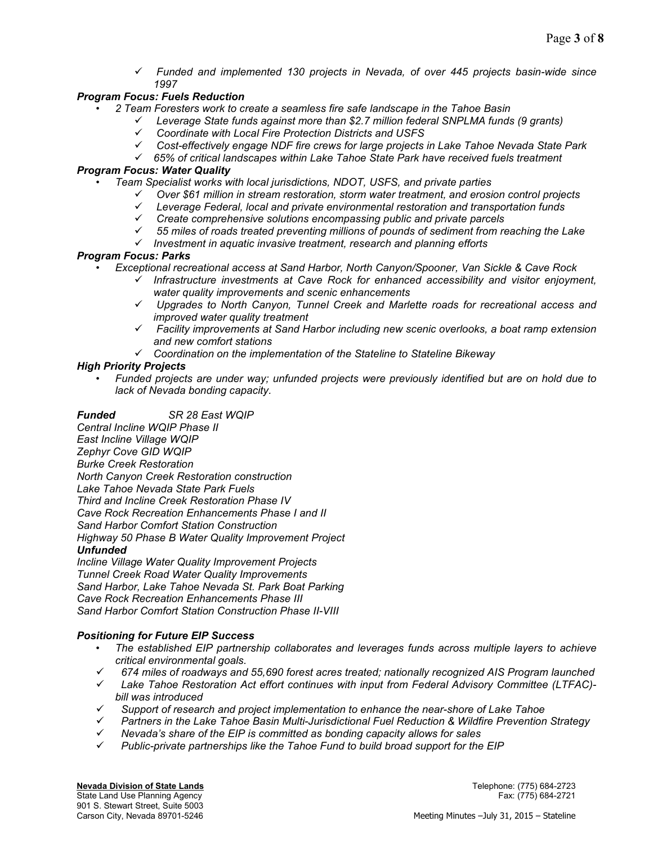*Funded and implemented 130 projects in Nevada, of over 445 projects basin-wide since 1997* 

# *Program Focus: Fuels Reduction*

- *2 Team Foresters work to create a seamless fire safe landscape in the Tahoe Basin* 
	- *Leverage State funds against more than \$2.7 million federal SNPLMA funds (9 grants)* 
		- *Coordinate with Local Fire Protection Districts and USFS*
	- *Cost-effectively engage NDF fire crews for large projects in Lake Tahoe Nevada State Park*
	- *65% of critical landscapes within Lake Tahoe State Park have received fuels treatment*

## *Program Focus: Water Quality*

- *Team Specialist works with local jurisdictions, NDOT, USFS, and private parties* 
	- *Over \$61 million in stream restoration, storm water treatment, and erosion control projects*
	- *Leverage Federal, local and private environmental restoration and transportation funds*
	- *Create comprehensive solutions encompassing public and private parcels*
	- *55 miles of roads treated preventing millions of pounds of sediment from reaching the Lake*
	- *Investment in aquatic invasive treatment, research and planning efforts*

## *Program Focus: Parks*

- *Exceptional recreational access at Sand Harbor, North Canyon/Spooner, Van Sickle & Cave Rock* 
	- *Infrastructure investments at Cave Rock for enhanced accessibility and visitor enjoyment, water quality improvements and scenic enhancements*
	- *Upgrades to North Canyon, Tunnel Creek and Marlette roads for recreational access and improved water quality treatment*
	- *Facility improvements at Sand Harbor including new scenic overlooks, a boat ramp extension and new comfort stations*
	- *Coordination on the implementation of the Stateline to Stateline Bikeway*

## *High Priority Projects*

• *Funded projects are under way; unfunded projects were previously identified but are on hold due to lack of Nevada bonding capacity.* 

*Funded SR 28 East WQIP Central Incline WQIP Phase II East Incline Village WQIP* 

*Zephyr Cove GID WQIP Burke Creek Restoration* 

*North Canyon Creek Restoration construction* 

*Lake Tahoe Nevada State Park Fuels* 

*Third and Incline Creek Restoration Phase IV* 

*Cave Rock Recreation Enhancements Phase I and II* 

*Sand Harbor Comfort Station Construction* 

*Highway 50 Phase B Water Quality Improvement Project* 

## *Unfunded*

*Incline Village Water Quality Improvement Projects Tunnel Creek Road Water Quality Improvements Sand Harbor, Lake Tahoe Nevada St. Park Boat Parking Cave Rock Recreation Enhancements Phase III Sand Harbor Comfort Station Construction Phase II-VIII* 

# *Positioning for Future EIP Success*

- *The established EIP partnership collaborates and leverages funds across multiple layers to achieve critical environmental goals.*
- *674 miles of roadways and 55,690 forest acres treated; nationally recognized AIS Program launched*
- *Lake Tahoe Restoration Act effort continues with input from Federal Advisory Committee (LTFAC) bill was introduced*
- *Support of research and project implementation to enhance the near-shore of Lake Tahoe*
- *Partners in the Lake Tahoe Basin Multi-Jurisdictional Fuel Reduction & Wildfire Prevention Strategy*
- *Nevada's share of the EIP is committed as bonding capacity allows for sales*
- *Public-private partnerships like the Tahoe Fund to build broad support for the EIP*

**Nevada Division of State Lands** Telephone: (775) 684-2723 State Land Use Planning Agency 901 S. Stewart Street, Suite 5003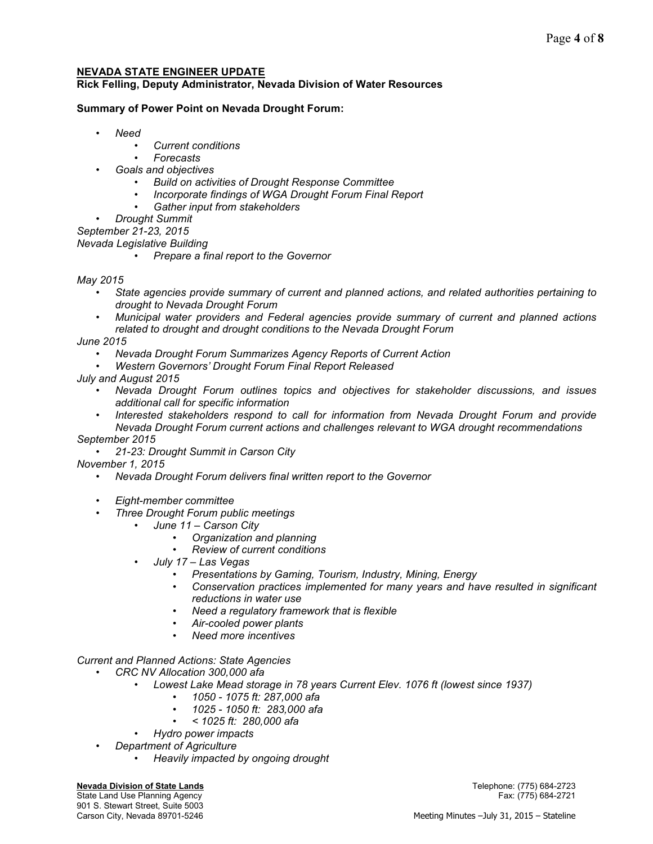# **NEVADA STATE ENGINEER UPDATE**

**Rick Felling, Deputy Administrator, Nevada Division of Water Resources** 

# **Summary of Power Point on Nevada Drought Forum:**

- *Need* 
	- *Current conditions*
	- *Forecasts*
	- *Goals and objectives* 
		- *Build on activities of Drought Response Committee*
		- *Incorporate findings of WGA Drought Forum Final Report*
		- *Gather input from stakeholders*

• *Drought Summit* 

*September 21-23, 2015* 

- *Nevada Legislative Building* 
	- *Prepare a final report to the Governor*

## *May 2015*

- *State agencies provide summary of current and planned actions, and related authorities pertaining to drought to Nevada Drought Forum*
- *Municipal water providers and Federal agencies provide summary of current and planned actions related to drought and drought conditions to the Nevada Drought Forum*

*June 2015* 

- *Nevada Drought Forum Summarizes Agency Reports of Current Action*
- *Western Governors' Drought Forum Final Report Released*
- *July and August 2015* 
	- *Nevada Drought Forum outlines topics and objectives for stakeholder discussions, and issues additional call for specific information*
	- *Interested stakeholders respond to call for information from Nevada Drought Forum and provide Nevada Drought Forum current actions and challenges relevant to WGA drought recommendations*

*September 2015* 

• *21-23: Drought Summit in Carson City* 

*November 1, 2015* 

- *Nevada Drought Forum delivers final written report to the Governor*
- *Eight-member committee*
- *Three Drought Forum public meetings* 
	- *June 11 Carson City* 
		- *Organization and planning*
		- *Review of current conditions*
	- *July 17 Las Vegas* 
		- *Presentations by Gaming, Tourism, Industry, Mining, Energy*
		- *Conservation practices implemented for many years and have resulted in significant reductions in water use*
		- *Need a regulatory framework that is flexible*
		- *Air-cooled power plants*
		- *Need more incentives*

*Current and Planned Actions: State Agencies* 

- *CRC NV Allocation 300,000 afa* 
	- *Lowest Lake Mead storage in 78 years Current Elev. 1076 ft (lowest since 1937)* 
		- *1050 1075 ft: 287,000 afa*
		- *1025 1050 ft: 283,000 afa*
		- *< 1025 ft: 280,000 afa*
	- *Hydro power impacts*
	- *Department of Agriculture* 
		- *Heavily impacted by ongoing drought*

#### **Nevada Division of State Lands** Telephone: (775) 684-2723

State Land Use Planning Agency Fax: (775) 684-2721 901 S. Stewart Street, Suite 5003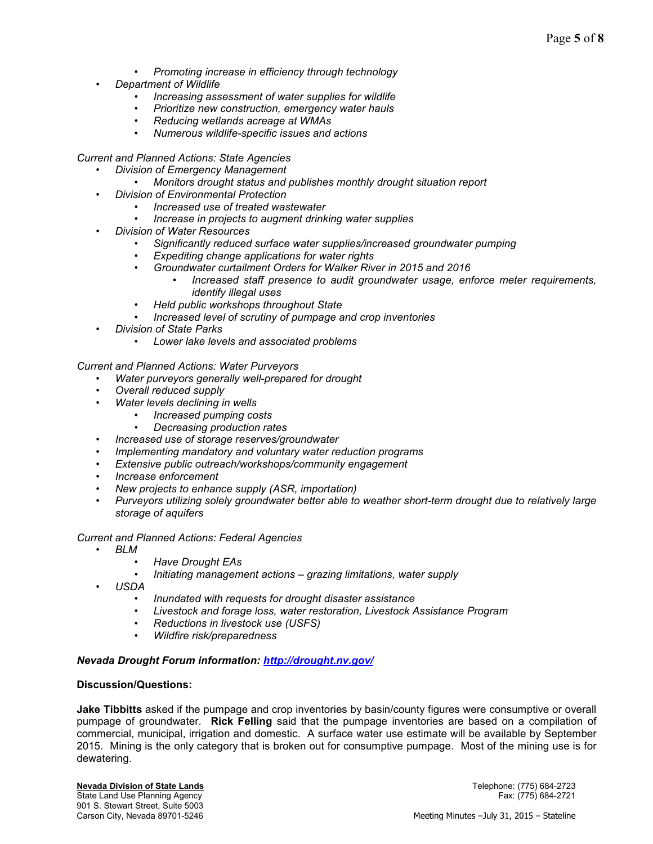- *Promoting increase in efficiency through technology*
- *Department of Wildlife* 
	- *Increasing assessment of water supplies for wildlife*
	- *Prioritize new construction, emergency water hauls*
	- *Reducing wetlands acreage at WMAs*
	- *Numerous wildlife-specific issues and actions*

*Current and Planned Actions: State Agencies* 

- *Division of Emergency Management* 
	- *Monitors drought status and publishes monthly drought situation report*
- *Division of Environmental Protection* 
	- *Increased use of treated wastewater*
	- *Increase in projects to augment drinking water supplies*
- *Division of Water Resources* 
	- *Significantly reduced surface water supplies/increased groundwater pumping*
	- *Expediting change applications for water rights*
	- *Groundwater curtailment Orders for Walker River in 2015 and 2016* 
		- *Increased staff presence to audit groundwater usage, enforce meter requirements, identify illegal uses*
	- *Held public workshops throughout State*
	- *Increased level of scrutiny of pumpage and crop inventories*
- *Division of State Parks* 
	- *Lower lake levels and associated problems*

*Current and Planned Actions: Water Purveyors* 

- *Water purveyors generally well-prepared for drought*
- *Overall reduced supply* 
	- *Water levels declining in wells* 
		- *Increased pumping costs* 
			- *Decreasing production rates*
- *Increased use of storage reserves/groundwater*
- *Implementing mandatory and voluntary water reduction programs*
- *Extensive public outreach/workshops/community engagement*
- *Increase enforcement*
- *New projects to enhance supply (ASR, importation)*
- *Purveyors utilizing solely groundwater better able to weather short-term drought due to relatively large storage of aquifers*

#### *Current and Planned Actions: Federal Agencies*

- *BLM* 
	- *Have Drought EAs*
	- *Initiating management actions grazing limitations, water supply*
- *USDA* 
	- *Inundated with requests for drought disaster assistance*
	- *Livestock and forage loss, water restoration, Livestock Assistance Program*
	- *Reductions in livestock use (USFS)*
	- *Wildfire risk/preparedness*

#### *Nevada Drought Forum information: http://drought.nv.gov/*

#### **Discussion/Questions:**

**Jake Tibbitts** asked if the pumpage and crop inventories by basin/county figures were consumptive or overall pumpage of groundwater. **Rick Felling** said that the pumpage inventories are based on a compilation of commercial, municipal, irrigation and domestic. A surface water use estimate will be available by September 2015. Mining is the only category that is broken out for consumptive pumpage. Most of the mining use is for dewatering.

State Land Use Planning Agency 901 S. Stewart Street, Suite 5003<br>Carson City, Nevada 89701-5246

**Nevada Division of State Lands** Telephone: (775) 684-2723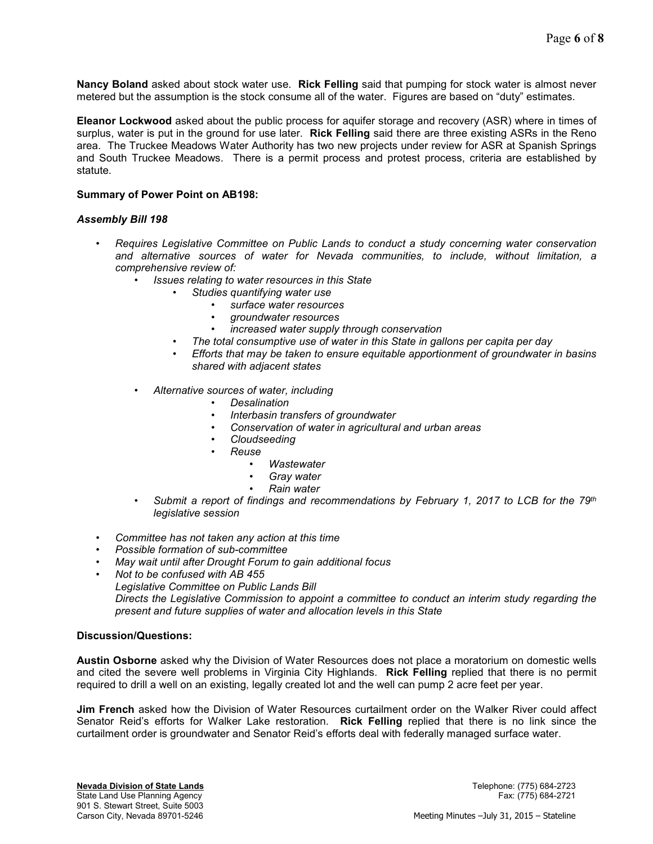**Nancy Boland** asked about stock water use. **Rick Felling** said that pumping for stock water is almost never metered but the assumption is the stock consume all of the water. Figures are based on "duty" estimates.

**Eleanor Lockwood** asked about the public process for aquifer storage and recovery (ASR) where in times of surplus, water is put in the ground for use later. **Rick Felling** said there are three existing ASRs in the Reno area. The Truckee Meadows Water Authority has two new projects under review for ASR at Spanish Springs and South Truckee Meadows. There is a permit process and protest process, criteria are established by statute.

## **Summary of Power Point on AB198:**

## *Assembly Bill 198*

- *Requires Legislative Committee on Public Lands to conduct a study concerning water conservation and alternative sources of water for Nevada communities, to include, without limitation, a comprehensive review of:* 
	- *Issues relating to water resources in this State* 
		- *Studies quantifying water use* 
			- *surface water resources*
			- *groundwater resources*
			- *increased water supply through conservation*
		- *The total consumptive use of water in this State in gallons per capita per day*
		- *Efforts that may be taken to ensure equitable apportionment of groundwater in basins shared with adjacent states*
	- *Alternative sources of water, including* 
		- *Desalination*
		- *Interbasin transfers of groundwater*
		- *Conservation of water in agricultural and urban areas*
		- *Cloudseeding*
		- *Reuse* 
			- *Wastewater*
			- *Gray water*
			- *Rain water*
	- *Submit a report of findings and recommendations by February 1, 2017 to LCB for the 79th legislative session*
- *Committee has not taken any action at this time*
- *Possible formation of sub-committee*
- *May wait until after Drought Forum to gain additional focus*
- *Not to be confused with AB 455* 
	- *Legislative Committee on Public Lands Bill*

*Directs the Legislative Commission to appoint a committee to conduct an interim study regarding the present and future supplies of water and allocation levels in this State* 

### **Discussion/Questions:**

**Austin Osborne** asked why the Division of Water Resources does not place a moratorium on domestic wells and cited the severe well problems in Virginia City Highlands. **Rick Felling** replied that there is no permit required to drill a well on an existing, legally created lot and the well can pump 2 acre feet per year.

**Jim French** asked how the Division of Water Resources curtailment order on the Walker River could affect Senator Reid's efforts for Walker Lake restoration. **Rick Felling** replied that there is no link since the curtailment order is groundwater and Senator Reid's efforts deal with federally managed surface water.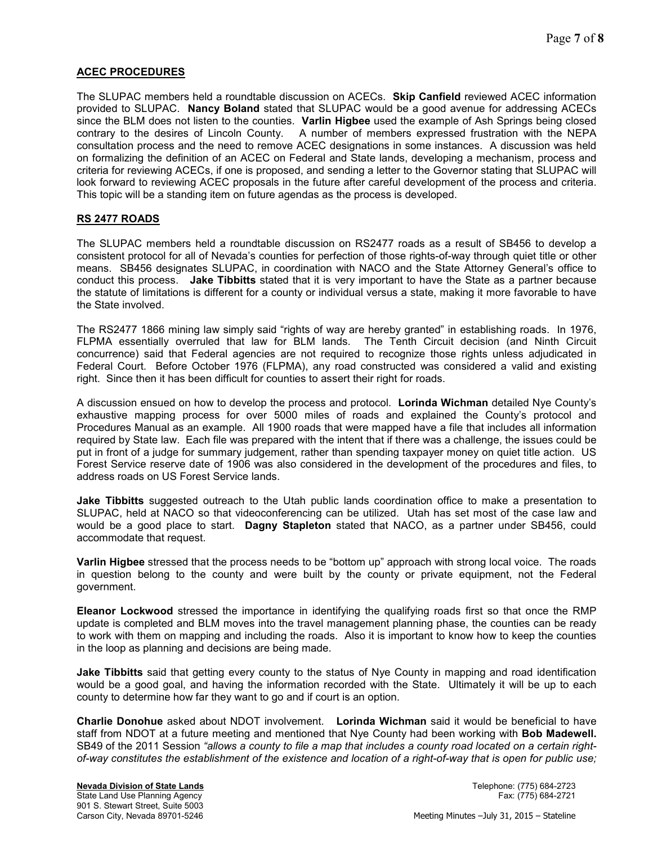## **ACEC PROCEDURES**

The SLUPAC members held a roundtable discussion on ACECs. **Skip Canfield** reviewed ACEC information provided to SLUPAC. **Nancy Boland** stated that SLUPAC would be a good avenue for addressing ACECs since the BLM does not listen to the counties. **Varlin Higbee** used the example of Ash Springs being closed contrary to the desires of Lincoln County. A number of members expressed frustration with the NEPA consultation process and the need to remove ACEC designations in some instances. A discussion was held on formalizing the definition of an ACEC on Federal and State lands, developing a mechanism, process and criteria for reviewing ACECs, if one is proposed, and sending a letter to the Governor stating that SLUPAC will look forward to reviewing ACEC proposals in the future after careful development of the process and criteria. This topic will be a standing item on future agendas as the process is developed.

# **RS 2477 ROADS**

The SLUPAC members held a roundtable discussion on RS2477 roads as a result of SB456 to develop a consistent protocol for all of Nevada's counties for perfection of those rights-of-way through quiet title or other means. SB456 designates SLUPAC, in coordination with NACO and the State Attorney General's office to conduct this process. **Jake Tibbitts** stated that it is very important to have the State as a partner because the statute of limitations is different for a county or individual versus a state, making it more favorable to have the State involved.

The RS2477 1866 mining law simply said "rights of way are hereby granted" in establishing roads. In 1976, FLPMA essentially overruled that law for BLM lands. The Tenth Circuit decision (and Ninth Circuit concurrence) said that Federal agencies are not required to recognize those rights unless adjudicated in Federal Court. Before October 1976 (FLPMA), any road constructed was considered a valid and existing right. Since then it has been difficult for counties to assert their right for roads.

A discussion ensued on how to develop the process and protocol. **Lorinda Wichman** detailed Nye County's exhaustive mapping process for over 5000 miles of roads and explained the County's protocol and Procedures Manual as an example. All 1900 roads that were mapped have a file that includes all information required by State law. Each file was prepared with the intent that if there was a challenge, the issues could be put in front of a judge for summary judgement, rather than spending taxpayer money on quiet title action. US Forest Service reserve date of 1906 was also considered in the development of the procedures and files, to address roads on US Forest Service lands.

**Jake Tibbitts** suggested outreach to the Utah public lands coordination office to make a presentation to SLUPAC, held at NACO so that videoconferencing can be utilized. Utah has set most of the case law and would be a good place to start. **Dagny Stapleton** stated that NACO, as a partner under SB456, could accommodate that request.

**Varlin Higbee** stressed that the process needs to be "bottom up" approach with strong local voice. The roads in question belong to the county and were built by the county or private equipment, not the Federal government.

**Eleanor Lockwood** stressed the importance in identifying the qualifying roads first so that once the RMP update is completed and BLM moves into the travel management planning phase, the counties can be ready to work with them on mapping and including the roads. Also it is important to know how to keep the counties in the loop as planning and decisions are being made.

**Jake Tibbitts** said that getting every county to the status of Nye County in mapping and road identification would be a good goal, and having the information recorded with the State. Ultimately it will be up to each county to determine how far they want to go and if court is an option.

**Charlie Donohue** asked about NDOT involvement. **Lorinda Wichman** said it would be beneficial to have staff from NDOT at a future meeting and mentioned that Nye County had been working with **Bob Madewell.**  SB49 of the 2011 Session *"allows a county to file a map that includes a county road located on a certain rightof-way constitutes the establishment of the existence and location of a right-of-way that is open for public use;*